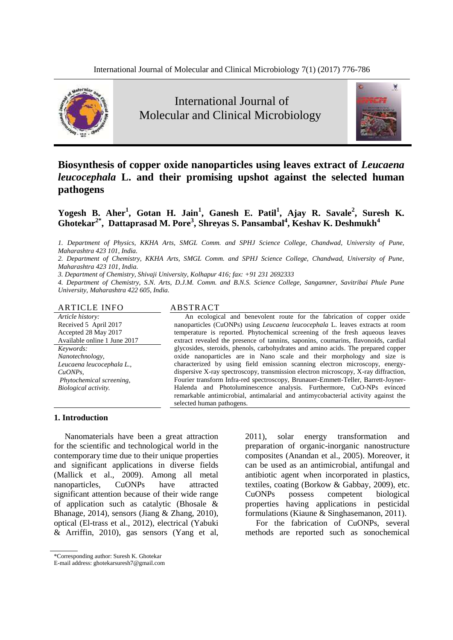

International Journal of Molecular and Clinical Microbiology



# **Biosynthesis of copper oxide nanoparticles using leaves extract of** *Leucaena leucocephala* **L. and their promising upshot against the selected human pathogens**

**Yogesh B. Aher<sup>1</sup> , Gotan H. Jain<sup>1</sup> , Ganesh E. Patil<sup>1</sup> , Ajay R. Savale<sup>2</sup> , Suresh K. Ghotekar2\*, Dattaprasad M. Pore<sup>3</sup> , Shreyas S. Pansambal<sup>4</sup> , Keshav K. Deshmukh<sup>4</sup>** 

*1. Department of Physics, KKHA Arts, SMGL Comm. and SPHJ Science College, Chandwad, University of Pune, Maharashtra 423 101, India.*

*2. Department of Chemistry, KKHA Arts, SMGL Comm. and SPHJ Science College, Chandwad, University of Pune, Maharashtra 423 101, India.*

*3. Department of Chemistry, Shivaji University, Kolhapur 416; fax: +91 231 2692333*

*4. Department of Chemistry, S.N. Arts, D.J.M. Comm. and B.N.S. Science College, Sangamner, Savitribai Phule Pune University, Maharashtra 422 605, India.*

#### ARTICLE INFO ABSTRACT

*Article history:* Received 5 April 2017 Accepted 28 May 2017 Available online 1 June 2017 *Keywords: Nanotechnology, Leucaena leucocephala L., CuONPs, Phytochemical screening, Biological activity.*

An ecological and benevolent route for the fabrication of copper oxide nanoparticles (CuONPs) using *Leucaena leucocephala* L. leaves extracts at room temperature is reported. Phytochemical screening of the fresh aqueous leaves extract revealed the presence of tannins, saponins, coumarins, flavonoids, cardial glycosides, steroids, phenols, carbohydrates and amino acids. The prepared copper oxide nanoparticles are in Nano scale and their morphology and size is characterized by using field emission scanning electron microscopy, energydispersive X-ray spectroscopy, transmission electron microscopy, X-ray diffraction, Fourier transform Infra-red spectroscopy, Brunauer-Emmett-Teller, Barrett-Joyner-Halenda and Photoluminescence analysis. Furthermore, CuO-NPs evinced remarkable antimicrobial, antimalarial and antimycobacterial activity against the selected human pathogens.

#### **1. Introduction**

Nanomaterials have been a great attraction for the scientific and technological world in the contemporary time due to their unique properties and significant applications in diverse fields (Mallick et al., 2009). Among all metal nanoparticles, CuONPs have attracted significant attention because of their wide range of application such as catalytic (Bhosale & Bhanage, 2014), sensors (Jiang & Zhang, 2010), optical (El-trass et al., 2012), electrical (Yabuki & Arriffin, 2010), gas sensors (Yang et al, 2011), solar energy transformation and preparation of organic-inorganic nanostructure composites (Anandan et al., 2005). Moreover, it can be used as an antimicrobial, antifungal and antibiotic agent when incorporated in plastics, textiles, coating (Borkow & Gabbay, 2009), etc. CuONPs possess competent biological properties having applications in pesticidal formulations (Kiaune & Singhasemanon, 2011).

For the fabrication of CuONPs, several methods are reported such as sonochemical

<sup>\*</sup>Corresponding author: Suresh K. Ghotekar

E-mail address: ghotekarsuresh7@gmail.com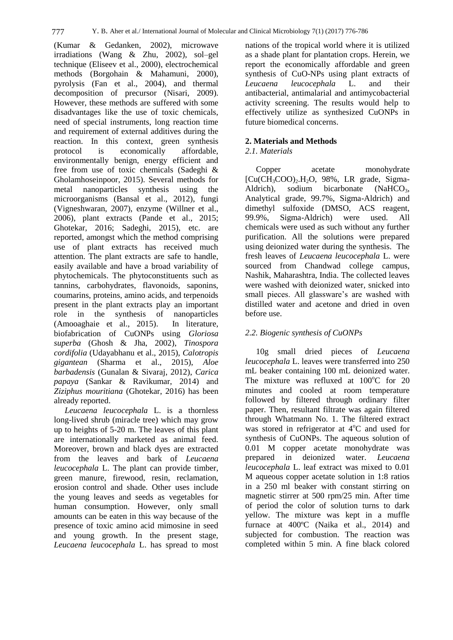(Kumar & Gedanken, 2002), microwave irradiations (Wang & Zhu, 2002), sol–gel technique (Eliseev et al., 2000), electrochemical methods (Borgohain & Mahamuni, 2000), pyrolysis (Fan et al., 2004), and thermal decomposition of precursor (Nisari, 2009). However, these methods are suffered with some disadvantages like the use of toxic chemicals, need of special instruments, long reaction time and requirement of external additives during the reaction. In this context, green synthesis protocol is economically affordable, environmentally benign, energy efficient and free from use of toxic chemicals (Sadeghi & Gholamhoseinpoor, 2015). Several methods for metal nanoparticles synthesis using the microorganisms (Bansal et al., 2012), fungi (Vigneshwaran, 2007), enzyme (Willner et al., 2006), plant extracts (Pande et al., 2015; Ghotekar, 2016; Sadeghi, 2015), etc. are reported, amongst which the method comprising use of plant extracts has received much attention. The plant extracts are safe to handle, easily available and have a broad variability of phytochemicals. The phytoconstituents such as tannins, carbohydrates, flavonoids, saponins, coumarins, proteins, amino acids, and terpenoids present in the plant extracts play an important role in the synthesis of nanoparticles (Amooaghaie et al., 2015). In literature, biofabrication of CuONPs using *Gloriosa superba* (Ghosh & Jha, 2002), *Tinospora cordifolia* (Udayabhanu et al., 2015), *Calotropis gigantean* (Sharma et al., 2015), *Aloe barbadensis* (Gunalan & Sivaraj, 2012), *Carica papaya* (Sankar & Ravikumar, 2014) and *Ziziphus mouritiana* (Ghotekar, 2016) has been already reported.

*Leucaena leucocephala* L. is a thornless long-lived shrub (miracle tree) which may grow up to heights of 5-20 m. The leaves of this plant are internationally marketed as animal feed. Moreover, brown and black dyes are extracted from the leaves and bark of *Leucaena leucocephala* L. The plant can provide timber, green manure, firewood, resin, reclamation, erosion control and shade. Other uses include the young leaves and seeds as vegetables for human consumption. However, only small amounts can be eaten in this way because of the presence of toxic amino acid mimosine in seed and young growth. In the present stage, *Leucaena leucocephala* L. has spread to most

nations of the tropical world where it is utilized as a shade plant for plantation crops. Herein, we report the economically affordable and green synthesis of CuO-NPs using plant extracts of *Leucaena leucocephala* L. and their antibacterial, antimalarial and antimycobacterial activity screening. The results would help to effectively utilize as synthesized CuONPs in future biomedical concerns.

## **2. Materials and Methods**

## *2.1. Materials*

Copper acetate monohydrate  $[Cu(CH_3COO)_2.H_2O, 98\%$ , LR grade, Sigma-<br>Aldrich), sodium bicarbonate (NaHCO<sub>3</sub>, sodium bicarbonate (NaHCO<sub>3</sub>, Analytical grade, 99.7%, Sigma-Aldrich) and dimethyl sulfoxide (DMSO, ACS reagent, 99.9%, Sigma-Aldrich) were used. All chemicals were used as such without any further purification. All the solutions were prepared using deionized water during the synthesis. The fresh leaves of *Leucaena leucocephala* L. were sourced from Chandwad college campus, Nashik, Maharashtra, India. The collected leaves were washed with deionized water, snicked into small pieces. All glassware's are washed with distilled water and acetone and dried in oven before use.

## *2.2. Biogenic synthesis of CuONPs*

10g small dried pieces of *Leucaena leucocephala* L. leaves were transferred into 250 mL beaker containing 100 mL deionized water. The mixture was refluxed at  $100^{\circ}$ C for 20 minutes and cooled at room temperature followed by filtered through ordinary filter paper. Then, resultant filtrate was again filtered through Whatmann No. 1. The filtered extract was stored in refrigerator at  $4^{\circ}$ C and used for synthesis of CuONPs. The aqueous solution of 0.01 M copper acetate monohydrate was prepared in deionized water. *Leucaena leucocephala* L. leaf extract was mixed to 0.01 M aqueous copper acetate solution in 1:8 ratios in a 250 ml beaker with constant stirring on magnetic stirrer at 500 rpm/25 min. After time of period the color of solution turns to dark yellow. The mixture was kept in a muffle furnace at 400ºC (Naika et al., 2014) and subjected for combustion. The reaction was completed within 5 min. A fine black colored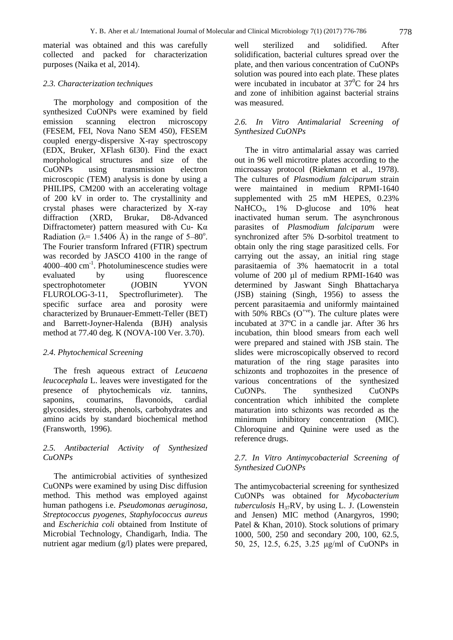material was obtained and this was carefully collected and packed for characterization purposes (Naika et al, 2014).

#### *2.3. Characterization techniques*

The morphology and composition of the synthesized CuONPs were examined by field emission scanning electron microscopy (FESEM, FEI, Nova Nano SEM 450), FESEM coupled energy-dispersive X-ray spectroscopy (EDX, Bruker, XFlash 6I30). Find the exact morphological structures and size of the CuONPs using transmission electron microscopic (TEM) analysis is done by using a PHILIPS, CM200 with an accelerating voltage of 200 kV in order to. The crystallinity and crystal phases were characterized by X-ray diffraction (XRD, Brukar, D8-Advanced Diffractometer) pattern measured with Cu- Kα Radiation ( $\lambda$ = 1.5406 Å) in the range of 5–80<sup>o</sup>. The Fourier transform Infrared (FTIR) spectrum was recorded by JASCO 4100 in the range of 4000–400 cm-1 . Photoluminescence studies were evaluated by using fluorescence spectrophotometer (JOBIN YVON FLUROLOG-3-11, Spectroflurimeter). The specific surface area and porosity were characterized by Brunauer-Emmett-Teller (BET) and Barrett-Joyner-Halenda (BJH) analysis method at 77.40 deg. K (NOVA-100 Ver. 3.70).

#### *2.4. Phytochemical Screening*

The fresh aqueous extract of *Leucaena leucocephala* L. leaves were investigated for the presence of phytochemicals *viz.* tannins, saponins, coumarins, flavonoids, cardial glycosides, steroids, phenols, carbohydrates and amino acids by standard biochemical method (Fransworth, 1996).

## *2.5. Antibacterial Activity of Synthesized CuONPs*

The antimicrobial activities of synthesized CuONPs were examined by using Disc diffusion method. This method was employed against human pathogens i.e. *Pseudomonas aeruginosa, Streptococcus pyogenes, Staphylococcus aureus* and *Escherichia coli* obtained from Institute of Microbial Technology, Chandigarh, India. The nutrient agar medium (g/l) plates were prepared,

well sterilized and solidified. After solidification, bacterial cultures spread over the plate, and then various concentration of CuONPs solution was poured into each plate. These plates were incubated in incubator at  $37^{\circ}$ C for 24 hrs and zone of inhibition against bacterial strains was measured.

### *2.6. In Vitro Antimalarial Screening of Synthesized CuONPs*

The in vitro antimalarial assay was carried out in 96 well microtitre plates according to the microassay protocol (Riekmann et al., 1978). The cultures of *Plasmodium falciparum* strain were maintained in medium RPMI-1640 supplemented with 25 mM HEPES, 0.23% NaHCO<sub>3</sub>, 1% D-glucose and 10% heat inactivated human serum. The asynchronous parasites of *Plasmodium falciparum* were synchronized after 5% D-sorbitol treatment to obtain only the ring stage parasitized cells. For carrying out the assay, an initial ring stage parasitaemia of 3% haematocrit in a total volume of 200 µl of medium RPMI-1640 was determined by Jaswant Singh Bhattacharya (JSB) staining (Singh, 1956) to assess the percent parasitaemia and uniformly maintained with 50% RBCs  $(O^{+ve})$ . The culture plates were incubated at 37ºC in a candle jar. After 36 hrs incubation, thin blood smears from each well were prepared and stained with JSB stain. The slides were microscopically observed to record maturation of the ring stage parasites into schizonts and trophozoites in the presence of various concentrations of the synthesized CuONPs. The synthesized CuONPs concentration which inhibited the complete maturation into schizonts was recorded as the minimum inhibitory concentration (MIC). Chloroquine and Quinine were used as the reference drugs.

### *2.7. In Vitro Antimycobacterial Screening of Synthesized CuONPs*

The antimycobacterial screening for synthesized CuONPs was obtained for *Mycobacterium tuberculosis*  $H_{37}RV$ , by using L. J. (Lowenstein and Jensen) MIC method (Anargyros, 1990; Patel & Khan, 2010). Stock solutions of primary 1000, 500, 250 and secondary 200, 100, 62.5, 50, 25, 12.5, 6.25, 3.25 μg/ml of CuONPs in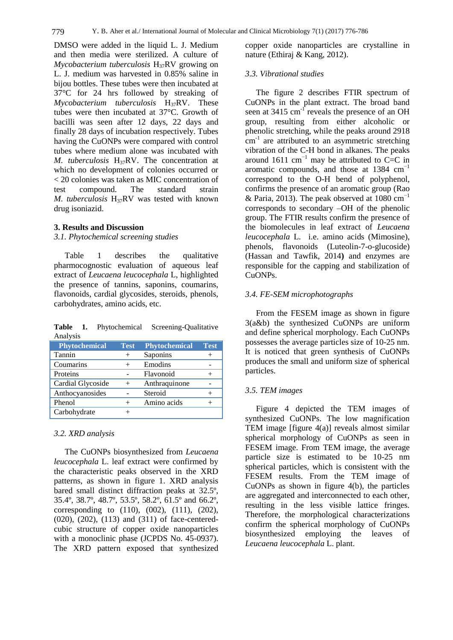DMSO were added in the liquid L. J. Medium and then media were sterilized. A culture of *Mycobacterium tuberculosis* H<sub>37</sub>RV growing on L. J. medium was harvested in 0.85% saline in bijou bottles. These tubes were then incubated at 37°C for 24 hrs followed by streaking of *Mycobacterium tuberculosis* H<sub>37</sub>RV. These tubes were then incubated at 37°C. Growth of bacilli was seen after 12 days, 22 days and finally 28 days of incubation respectively. Tubes having the CuONPs were compared with control tubes where medium alone was incubated with *M. tuberculosis* H<sub>37</sub>RV. The concentration at which no development of colonies occurred or < 20 colonies was taken as MIC concentration of test compound. The standard strain *M. tuberculosis* H<sub>37</sub>RV was tested with known drug isoniazid.

#### **3. Results and Discussion**

*3.1. Phytochemical screening studies*

Table 1 describes the qualitative pharmocognostic evaluation of aqueous leaf extract of *Leucaena leucocephala* L, highlighted the presence of tannins, saponins, coumarins, flavonoids, cardial glycosides, steroids, phenols, carbohydrates, amino acids, etc.

**Table 1.** Phytochemical Screening-Qualitative Analysis

| <b>Phytochemical</b> | <b>Test</b> | <b>Phytochemical</b> | <b>Test</b> |
|----------------------|-------------|----------------------|-------------|
| Tannin               |             | Saponins             |             |
| Coumarins            |             | Emodins              |             |
| Proteins             |             | Flavonoid            |             |
| Cardial Glycoside    | $^{+}$      | Anthraquinone        |             |
| Anthocyanosides      |             | Steroid              |             |
| Phenol               |             | Amino acids          |             |
| Carbohydrate         |             |                      |             |

#### *3.2. XRD analysis*

The CuONPs biosynthesized from *Leucaena leucocephala* L. leaf extract were confirmed by the characteristic peaks observed in the XRD patterns, as shown in figure 1. XRD analysis bared small distinct diffraction peaks at 32.5º, 35.4º, 38.7º, 48.7º, 53.5º, 58.2º, 61.5º and 66.2º, corresponding to (110), (002), (111), (202), (020), (202), (113) and (311) of face-centeredcubic structure of copper oxide nanoparticles with a monoclinic phase (JCPDS No. 45-0937). The XRD pattern exposed that synthesized

copper oxide nanoparticles are crystalline in nature (Ethiraj & Kang, 2012).

#### *3.3. Vibrational studies*

The figure 2 describes FTIR spectrum of CuONPs in the plant extract. The broad band seen at 3415 cm<sup>-1</sup> reveals the presence of an OH group, resulting from either alcoholic or phenolic stretching, while the peaks around 2918  $cm<sup>-1</sup>$  are attributed to an asymmetric stretching vibration of the C-H bond in alkanes. The peaks around 1611 cm<sup>-1</sup> may be attributed to C=C in aromatic compounds, and those at 1384  $cm^{-1}$ correspond to the O-H bend of polyphenol, confirms the presence of an aromatic group (Rao & Paria, 2013). The peak observed at 1080 cm<sup>-1</sup> corresponds to secondary –OH of the phenolic group. The FTIR results confirm the presence of the biomolecules in leaf extract of *Leucaena leucocephala* L. i.e. amino acids (Mimosine), phenols, flavonoids (Luteolin-7-o-glucoside) (Hassan and Tawfik, 2014**)** and enzymes are responsible for the capping and stabilization of CuONPs.

#### *3.4. FE-SEM microphotographs*

From the FESEM image as shown in figure 3(a&b) the synthesized CuONPs are uniform and define spherical morphology. Each CuONPs possesses the average particles size of 10-25 nm. It is noticed that green synthesis of CuONPs produces the small and uniform size of spherical particles.

#### *3.5. TEM images*

Figure 4 depicted the TEM images of synthesized CuONPs. The low magnification TEM image [figure 4(a)] reveals almost similar spherical morphology of CuONPs as seen in FESEM image. From TEM image, the average particle size is estimated to be 10-25 nm spherical particles, which is consistent with the FESEM results. From the TEM image of CuONPs as shown in figure 4(b), the particles are aggregated and interconnected to each other, resulting in the less visible lattice fringes. Therefore, the morphological characterizations confirm the spherical morphology of CuONPs biosynthesized employing the leaves of *Leucaena leucocephala* L. plant.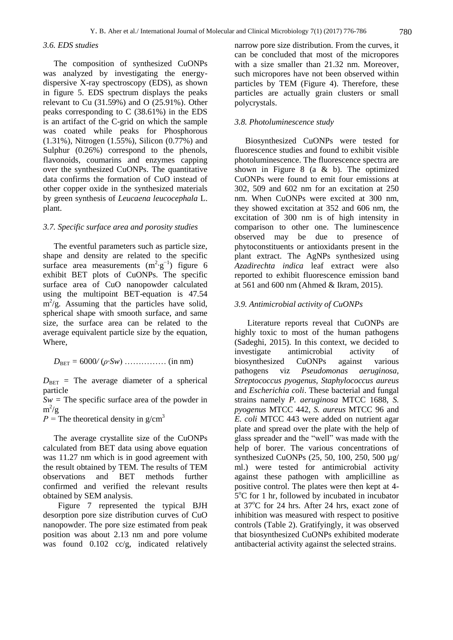#### *3.6. EDS studies*

The composition of synthesized CuONPs was analyzed by investigating the energydispersive X-ray spectroscopy (EDS), as shown in figure 5. EDS spectrum displays the peaks relevant to Cu (31.59%) and O (25.91%). Other peaks corresponding to C (38.61%) in the EDS is an artifact of the C-grid on which the sample was coated while peaks for Phosphorous (1.31%), Nitrogen (1.55%), Silicon (0.77%) and Sulphur (0.26%) correspond to the phenols, flavonoids, coumarins and enzymes capping over the synthesized CuONPs. The quantitative data confirms the formation of CuO instead of other copper oxide in the synthesized materials by green synthesis of *Leucaena leucocephala* L. plant.

#### *3.7. Specific surface area and porosity studies*

The eventful parameters such as particle size, shape and density are related to the specific surface area measurements  $(m^2 \text{·} g^{-1})$  figure 6 exhibit BET plots of CuONPs. The specific surface area of CuO nanopowder calculated using the multipoint BET-equation is 47.54  $m^2/g$ . Assuming that the particles have solid, spherical shape with smooth surface, and same size, the surface area can be related to the average equivalent particle size by the equation, Where,

 $D_{\text{BET}} = 6000/(\rho \cdot Sw)$  ……………… (in nm)

 $D_{\text{BET}}$  = The average diameter of a spherical particle

 $Sw =$  The specific surface area of the powder in  $m^2/g$ 

 $P =$ The theoretical density in g/cm<sup>3</sup>

The average crystallite size of the CuONPs calculated from BET data using above equation was 11.27 nm which is in good agreement with the result obtained by TEM. The results of TEM observations and BET methods further confirmed and verified the relevant results obtained by SEM analysis.

 Figure 7 represented the typical BJH desorption pore size distribution curves of CuO nanopowder. The pore size estimated from peak position was about 2.13 nm and pore volume was found 0.102 cc/g, indicated relatively narrow pore size distribution. From the curves, it can be concluded that most of the micropores with a size smaller than 21.32 nm. Moreover, such micropores have not been observed within particles by TEM (Figure 4). Therefore, these particles are actually grain clusters or small polycrystals.

#### *3.8. Photoluminescence study*

Biosynthesized CuONPs were tested for fluorescence studies and found to exhibit visible photoluminescence. The fluorescence spectra are shown in Figure 8 (a & b). The optimized CuONPs were found to emit four emissions at 302, 509 and 602 nm for an excitation at 250 nm. When CuONPs were excited at 300 nm, they showed excitation at 352 and 606 nm, the excitation of 300 nm is of high intensity in comparison to other one. The luminescence observed may be due to presence of phytoconstituents or antioxidants present in the plant extract. The AgNPs synthesized using *Azadirechta indica* leaf extract were also reported to exhibit fluorescence emission band at 561 and 600 nm (Ahmed & Ikram, 2015).

#### *3.9. Antimicrobial activity of CuONPs*

Literature reports reveal that CuONPs are highly toxic to most of the human pathogens (Sadeghi, 2015). In this context, we decided to investigate antimicrobial activity of biosynthesized CuONPs against various pathogens viz *Pseudomonas aeruginosa, Streptococcus pyogenus, Staphylococcus aureus*  and *Escherichia coli*. These bacterial and fungal strains namely *P. aeruginosa* MTCC 1688, *S. pyogenus* MTCC 442, *S. aureus* MTCC 96 and *E. coli* MTCC 443 were added on nutrient agar plate and spread over the plate with the help of glass spreader and the "well" was made with the help of borer. The various concentrations of synthesized CuONPs (25, 50, 100, 250, 500 µg/ ml.) were tested for antimicrobial activity against these pathogen with amplicilline as positive control. The plates were then kept at 4-  $5^{\circ}$ C for 1 hr, followed by incubated in incubator at 37°C for 24 hrs. After 24 hrs, exact zone of inhibition was measured with respect to positive controls (Table 2). Gratifyingly, it was observed that biosynthesized CuONPs exhibited moderate antibacterial activity against the selected strains.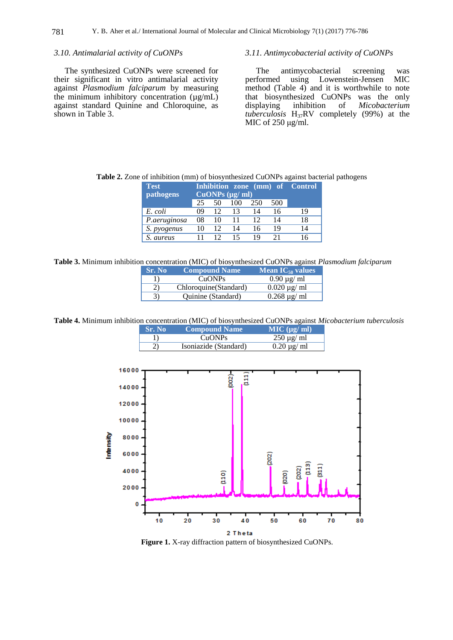#### *3.10. Antimalarial activity of CuONPs*

The synthesized CuONPs were screened for their significant in vitro antimalarial activity against *Plasmodium falciparum* by measuring the minimum inhibitory concentration  $(\mu g/mL)$ against standard Quinine and Chloroquine, as shown in Table 3.

#### *3.11. Antimycobacterial activity of CuONPs*

The antimycobacterial screening was<br>performed using Lowenstein-Jensen MIC Lowenstein-Jensen method (Table 4) and it is worthwhile to note that biosynthesized CuONPs was the only displaying inhibition of *Micobacterium*  $Micobacterium$ *tuberculosis* H37RV completely (99%) at the MIC of 250 μg/ml.

| <b>Test</b><br><b>pathogens</b> | Inhibition zone (mm) of Control<br>CuONPs (µg/ml) |    |     |     |     |    |
|---------------------------------|---------------------------------------------------|----|-----|-----|-----|----|
|                                 | 25                                                | 50 | 100 | 250 | 500 |    |
| E. coli                         | 09                                                | 12 | 13  | 14  | 16  | 19 |
| P.aeruginosa                    | 08                                                | 10 | 11  | 12  | 14  | 18 |
| S. pyogenus                     | 10                                                | 12 | 14  | 16  | 19  | 14 |
| S. aureus                       |                                                   | 12 | 15  | 19  | 21  | 16 |

**Table 2.** Zone of inhibition (mm) of biosynthesized CuONPs against bacterial pathogens

**Table 3.** Minimum inhibition concentration (MIC) of biosynthesized CuONPs against *Plasmodium falciparum*

| <b>Sr. No</b> | <b>Compound Name</b>   | Mean $IC_{50}$ values |
|---------------|------------------------|-----------------------|
|               | CuONPs                 | $0.90 \mu g$ ml       |
| 2)            | Chloroquine (Standard) | $0.020 \mu g$ ml      |
| 3)            | Quinine (Standard)     | $0.268 \mu g/ml$      |

**Table 4.** Minimum inhibition concentration (MIC) of biosynthesized CuONPs against *Micobacterium tuberculosis*

| <b>Sr. No</b> | Compound Name         | $MIC$ ( $\mu$ g/ ml) |
|---------------|-----------------------|----------------------|
|               | CuONPs                | $250 \mu g$ ml       |
| 2)            | Isoniazide (Standard) | $0.20 \mu g$ ml      |



**Figure 1.** X-ray diffraction pattern of biosynthesized CuONPs.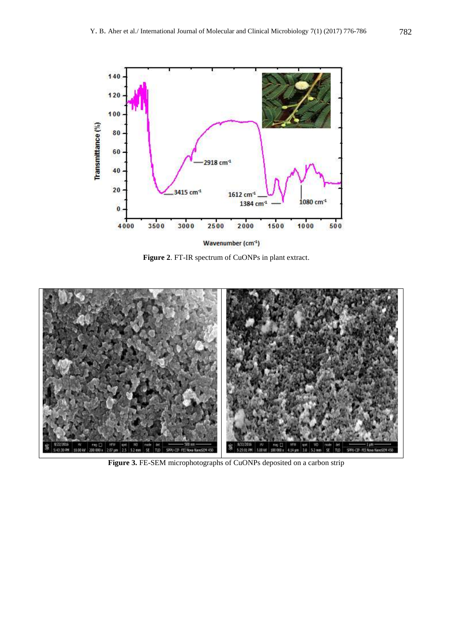

**Figure 2**. FT-IR spectrum of CuONPs in plant extract.



**Figure 3.** FE-SEM microphotographs of CuONPs deposited on a carbon strip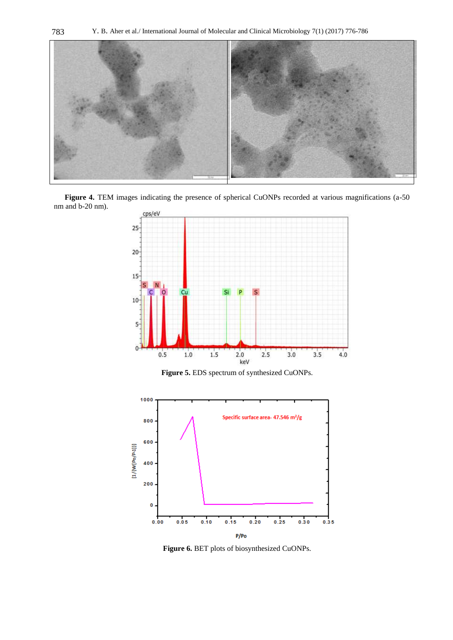

Figure 4. TEM images indicating the presence of spherical CuONPs recorded at various magnifications (a-50 nm and b-20 nm).



**Figure 5.** EDS spectrum of synthesized CuONPs.



**Figure 6.** BET plots of biosynthesized CuONPs.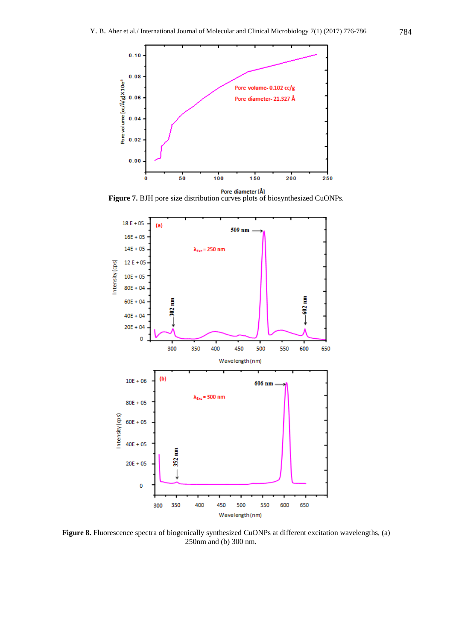

**Figure 7.** BJH pore size distribution curves plots of biosynthesized CuONPs.



**Figure 8.** Fluorescence spectra of biogenically synthesized CuONPs at different excitation wavelengths, (a) 250nm and (b) 300 nm.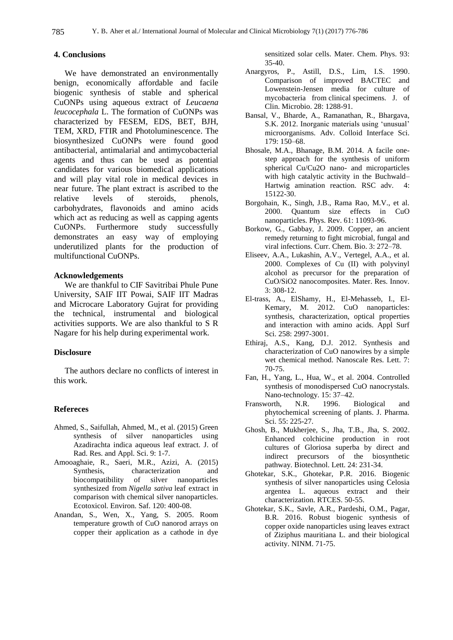#### **4. Conclusions**

We have demonstrated an environmentally benign, economically affordable and facile biogenic synthesis of stable and spherical CuONPs using aqueous extract of *Leucaena leucocephala* L. The formation of CuONPs was characterized by FESEM, EDS, BET, BJH, TEM, XRD, FTIR and Photoluminescence. The biosynthesized CuONPs were found good antibacterial, antimalarial and antimycobacterial agents and thus can be used as potential candidates for various biomedical applications and will play vital role in medical devices in near future. The plant extract is ascribed to the relative levels of steroids, phenols, carbohydrates, flavonoids and amino acids which act as reducing as well as capping agents CuONPs. Furthermore study successfully demonstrates an easy way of employing underutilized plants for the production of multifunctional CuONPs.

#### **Acknowledgements**

We are thankful to CIF Savitribai Phule Pune University, SAIF IIT Powai, SAIF IIT Madras and Microcare Laboratory Gujrat for providing the technical, instrumental and biological activities supports. We are also thankful to S R Nagare for his help during experimental work.

#### **Disclosure**

The authors declare no conflicts of interest in this work.

#### **Refereces**

- Ahmed, S., Saifullah, Ahmed, M., et al. (2015) Green synthesis of silver nanoparticles using Azadirachta indica aqueous leaf extract. J. of Rad. Res. and Appl. Sci. 9: 1-7.
- Amooaghaie, R., Saeri, M.R., Azizi, A. (2015) Synthesis, characterization and biocompatibility of silver nanoparticles synthesized from *Nigella sativa* leaf extract in comparison with chemical silver nanoparticles. Ecotoxicol. Environ. Saf. 120: 400-08.
- Anandan, S., Wen, X., Yang, S. 2005. Room temperature growth of CuO nanorod arrays on copper their application as a cathode in dye

sensitized solar cells. Mater. Chem. Phys. 93: 35-40.

- Anargyros, P., Astill, D.S., Lim, I.S. 1990. Comparison of improved BACTEC and Lowenstein-Jensen media for culture of mycobacteria from clinical specimens. J. of Clin. Microbio. 28: 1288-91.
- Bansal, V., Bharde, A., Ramanathan, R., Bhargava, S.K. 2012. Inorganic materials using "unusual" microorganisms. Adv. Colloid Interface Sci. 179: 150–68.
- Bhosale, M.A., Bhanage, B.M. 2014. A facile onestep approach for the synthesis of uniform spherical Cu/Cu2O nano- and microparticles with high catalytic activity in the Buchwald– Hartwig amination reaction. RSC adv. 15122-30.
- Borgohain, K., Singh, J.B., Rama Rao, M.V., et al. 2000. Quantum size effects in CuO nanoparticles. Phys. Rev. 61: 11093-96.
- Borkow, G., Gabbay, J. 2009. Copper, an ancient remedy returning to fight microbial, fungal and viral infections. Curr. Chem. Bio. 3: 272–78.
- Eliseev, A.A., Lukashin, A.V., Vertegel, A.A., et al. 2000. Complexes of Cu (II) with polyvinyl alcohol as precursor for the preparation of CuO/SiO2 nanocomposites. Mater. Res. Innov. 3: 308-12.
- El-trass, A., ElShamy, H., El-Mehasseb, I., El-Kemary, M. 2012. CuO nanoparticles: synthesis, characterization, optical properties and interaction with amino acids. Appl Surf Sci. 258: 2997-3001.
- Ethiraj, A.S., Kang, D.J. 2012. [Synthesis and](http://nanoscalereslett.springeropen.com/articles/10.1186/1556-276X-7-70)  [characterization of CuO nanowires by a simple](http://nanoscalereslett.springeropen.com/articles/10.1186/1556-276X-7-70)  [wet chemical method.](http://nanoscalereslett.springeropen.com/articles/10.1186/1556-276X-7-70) Nanoscale Res. Lett. 7: 70-75.
- Fan, H., Yang, L., Hua, W., et al. 2004. Controlled synthesis of monodispersed CuO nanocrystals. Nano-technology. 15: 37–42.
- Fransworth, N.R. 1996. Biological and phytochemical screening of plants. J. Pharma. Sci. 55: 225-27.
- Ghosh, B., Mukherjee, S., Jha, T.B., Jha, S. 2002. Enhanced colchicine production in root cultures of Gloriosa superba by direct and indirect precursors of the biosynthetic pathway. Biotechnol. Lett. 24: 231-34.
- Ghotekar, S.K., Ghotekar, P.R. 2016. Biogenic synthesis of silver nanoparticles using Celosia argentea L. aqueous extract and their characterization. RTCES. 50-55.
- Ghotekar, S.K., Savle, A.R., Pardeshi, O.M., Pagar, B.R. 2016. Robust biogenic synthesis of copper oxide nanoparticles using leaves extract of Ziziphus mauritiana L. and their biological activity. NINM. 71-75.